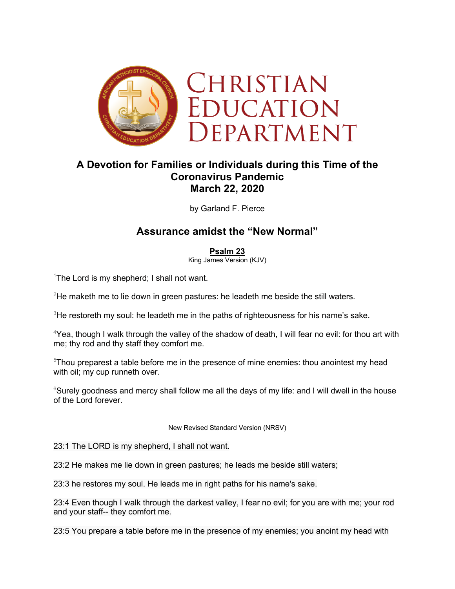

## **A Devotion for Families or Individuals during this Time of the Coronavirus Pandemic March 22, 2020**

by Garland F. Pierce

## **Assurance amidst the "New Normal"**

## **Psalm 23**

King James Version (KJV)

<sup>1</sup>The Lord is my shepherd; I shall not want.

 $2$ He maketh me to lie down in green pastures: he leadeth me beside the still waters.

 $3$ He restoreth my soul: he leadeth me in the paths of righteousness for his name's sake.

<sup>4</sup>Yea, though I walk through the valley of the shadow of death, I will fear no evil: for thou art with me; thy rod and thy staff they comfort me.

<sup>5</sup>Thou preparest a table before me in the presence of mine enemies: thou anointest my head with oil; my cup runneth over.

 $6$ Surely goodness and mercy shall follow me all the days of my life: and I will dwell in the house of the Lord forever.

New Revised Standard Version (NRSV)

23:1 The LORD is my shepherd, I shall not want.

23:2 He makes me lie down in green pastures; he leads me beside still waters;

23:3 he restores my soul. He leads me in right paths for his name's sake.

23:4 Even though I walk through the darkest valley, I fear no evil; for you are with me; your rod and your staff-- they comfort me.

23:5 You prepare a table before me in the presence of my enemies; you anoint my head with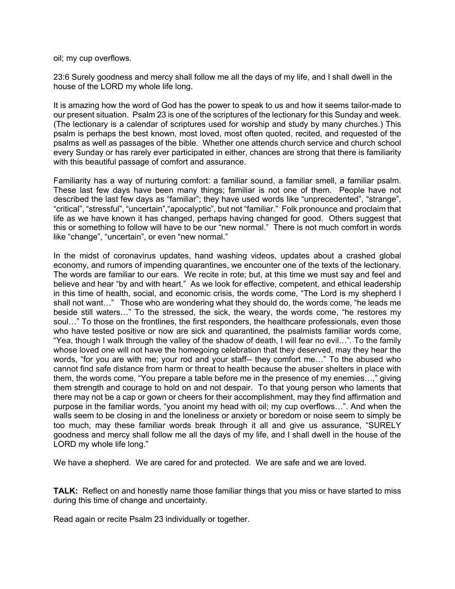oil; my cup overflows.

23:6 Surely goodness and mercy shall follow me all the days of my life, and I shall dwell in the house of the LORD my whole life long.

It is amazing how the word of God has the power to speak to us and how it seems tailor-made to our present situation. Psalm 23 is one of the scriptures of the lectionary for this Sunday and week. (The lectionary is a calendar of scriptures used for worship and study by many churches.) This psalm is perhaps the best known, most loved, most often quoted, recited, and requested of the psalms as well as passages of the bible. Whether one attends church service and church school every Sunday or has rarely ever participated in either, chances are strong that there is familiarity with this beautiful passage of comfort and assurance.

Familiarity has a way of nurturing comfort: a familiar sound, a familiar smell, a familiar psalm. These last few days have been many things; familiar is not one of them. People have not described the last few days as "familiar"; they have used words like "unprecedented", "strange", "critical", "stressful", "uncertain","apocalyptic", but not "familiar." Folk pronounce and proclaim that life as we have known it has changed, perhaps having changed for good. Others suggest that this or something to follow will have to be our "new normal." There is not much comfort in words like "change", "uncertain", or even "new normal."

In the midst of coronavirus updates, hand washing videos, updates about a crashed global economy, and rumors of impending quarantines, we encounter one of the texts of the lectionary. The words are familiar to our ears. We recite in rote; but, at this time we must say and feel and believe and hear "by and with heart." As we look for effective, competent, and ethical leadership in this time of health, social, and economic crisis, the words come, "The Lord is my shepherd I shall not want…" Those who are wondering what they should do, the words come, "he leads me beside still waters…" To the stressed, the sick, the weary, the words come, "he restores my soul…" To those on the frontlines, the first responders, the healthcare professionals, even those who have tested positive or now are sick and quarantined, the psalmists familiar words come, "Yea, though I walk through the valley of the shadow of death, I will fear no evil…". To the family whose loved one will not have the homegoing celebration that they deserved, may they hear the words, "for you are with me; your rod and your staff-- they comfort me…" To the abused who cannot find safe distance from harm or threat to health because the abuser shelters in place with them, the words come, "You prepare a table before me in the presence of my enemies…," giving them strength and courage to hold on and not despair. To that young person who laments that there may not be a cap or gown or cheers for their accomplishment, may they find affirmation and purpose in the familiar words, "you anoint my head with oil; my cup overflows…". And when the walls seem to be closing in and the loneliness or anxiety or boredom or noise seem to simply be too much, may these familiar words break through it all and give us assurance, "SURELY goodness and mercy shall follow me all the days of my life, and I shall dwell in the house of the LORD my whole life long."

We have a shepherd. We are cared for and protected. We are safe and we are loved.

**TALK:** Reflect on and honestly name those familiar things that you miss or have started to miss during this time of change and uncertainty.

Read again or recite Psalm 23 individually or together.